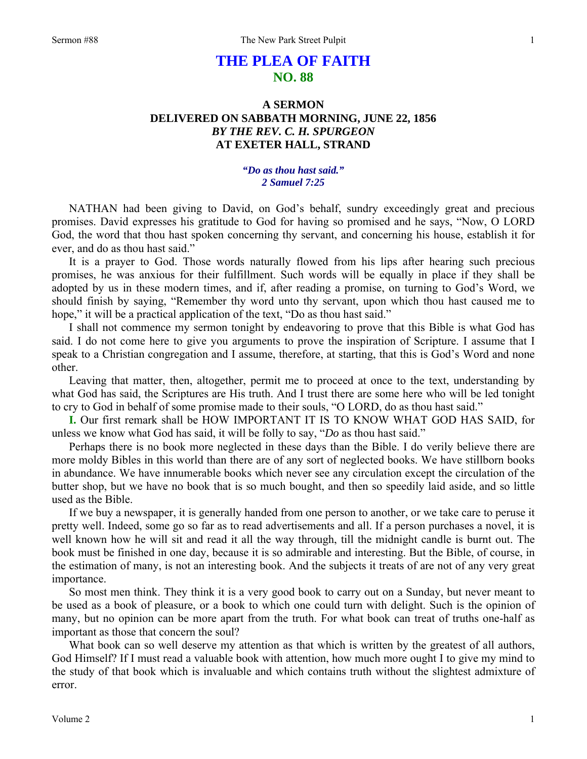## **THE PLEA OF FAITH NO. 88**

## **A SERMON DELIVERED ON SABBATH MORNING, JUNE 22, 1856**  *BY THE REV. C. H. SPURGEON*  **AT EXETER HALL, STRAND**

## *"Do as thou hast said." 2 Samuel 7:25*

NATHAN had been giving to David, on God's behalf, sundry exceedingly great and precious promises. David expresses his gratitude to God for having so promised and he says, "Now, O LORD God, the word that thou hast spoken concerning thy servant, and concerning his house, establish it for ever, and do as thou hast said."

It is a prayer to God. Those words naturally flowed from his lips after hearing such precious promises, he was anxious for their fulfillment. Such words will be equally in place if they shall be adopted by us in these modern times, and if, after reading a promise, on turning to God's Word, we should finish by saying, "Remember thy word unto thy servant, upon which thou hast caused me to hope," it will be a practical application of the text, "Do as thou hast said."

I shall not commence my sermon tonight by endeavoring to prove that this Bible is what God has said. I do not come here to give you arguments to prove the inspiration of Scripture. I assume that I speak to a Christian congregation and I assume, therefore, at starting, that this is God's Word and none other.

Leaving that matter, then, altogether, permit me to proceed at once to the text, understanding by what God has said, the Scriptures are His truth. And I trust there are some here who will be led tonight to cry to God in behalf of some promise made to their souls, "O LORD, do as thou hast said."

**I.** Our first remark shall be HOW IMPORTANT IT IS TO KNOW WHAT GOD HAS SAID, for unless we know what God has said, it will be folly to say, "*Do* as thou hast said."

Perhaps there is no book more neglected in these days than the Bible. I do verily believe there are more moldy Bibles in this world than there are of any sort of neglected books. We have stillborn books in abundance. We have innumerable books which never see any circulation except the circulation of the butter shop, but we have no book that is so much bought, and then so speedily laid aside, and so little used as the Bible.

If we buy a newspaper, it is generally handed from one person to another, or we take care to peruse it pretty well. Indeed, some go so far as to read advertisements and all. If a person purchases a novel, it is well known how he will sit and read it all the way through, till the midnight candle is burnt out. The book must be finished in one day, because it is so admirable and interesting. But the Bible, of course, in the estimation of many, is not an interesting book. And the subjects it treats of are not of any very great importance.

So most men think. They think it is a very good book to carry out on a Sunday, but never meant to be used as a book of pleasure, or a book to which one could turn with delight. Such is the opinion of many, but no opinion can be more apart from the truth. For what book can treat of truths one-half as important as those that concern the soul?

What book can so well deserve my attention as that which is written by the greatest of all authors, God Himself? If I must read a valuable book with attention, how much more ought I to give my mind to the study of that book which is invaluable and which contains truth without the slightest admixture of error.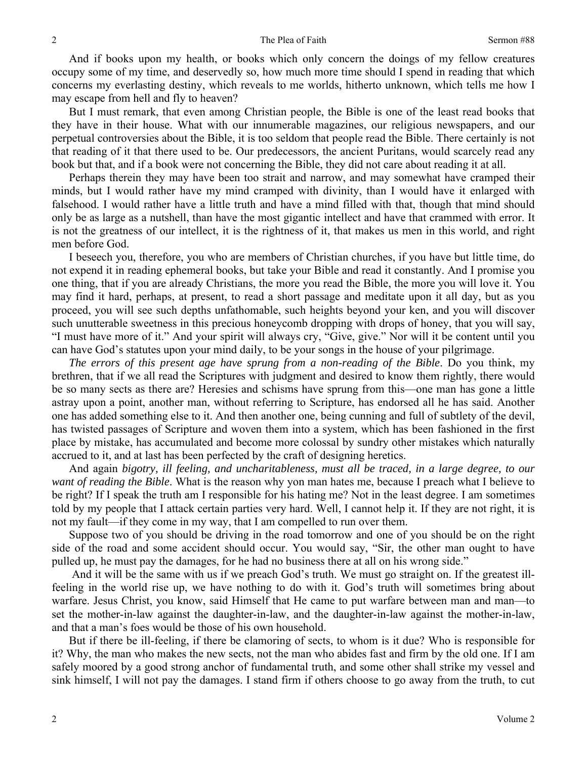And if books upon my health, or books which only concern the doings of my fellow creatures occupy some of my time, and deservedly so, how much more time should I spend in reading that which concerns my everlasting destiny, which reveals to me worlds, hitherto unknown, which tells me how I may escape from hell and fly to heaven?

But I must remark, that even among Christian people, the Bible is one of the least read books that they have in their house. What with our innumerable magazines, our religious newspapers, and our perpetual controversies about the Bible, it is too seldom that people read the Bible. There certainly is not that reading of it that there used to be. Our predecessors, the ancient Puritans, would scarcely read any book but that, and if a book were not concerning the Bible, they did not care about reading it at all.

Perhaps therein they may have been too strait and narrow, and may somewhat have cramped their minds, but I would rather have my mind cramped with divinity, than I would have it enlarged with falsehood. I would rather have a little truth and have a mind filled with that, though that mind should only be as large as a nutshell, than have the most gigantic intellect and have that crammed with error. It is not the greatness of our intellect, it is the rightness of it, that makes us men in this world, and right men before God.

I beseech you, therefore, you who are members of Christian churches, if you have but little time, do not expend it in reading ephemeral books, but take your Bible and read it constantly. And I promise you one thing, that if you are already Christians, the more you read the Bible, the more you will love it. You may find it hard, perhaps, at present, to read a short passage and meditate upon it all day, but as you proceed, you will see such depths unfathomable, such heights beyond your ken, and you will discover such unutterable sweetness in this precious honeycomb dropping with drops of honey, that you will say, "I must have more of it." And your spirit will always cry, "Give, give." Nor will it be content until you can have God's statutes upon your mind daily, to be your songs in the house of your pilgrimage.

*The errors of this present age have sprung from a non-reading of the Bible*. Do you think, my brethren, that if we all read the Scriptures with judgment and desired to know them rightly, there would be so many sects as there are? Heresies and schisms have sprung from this—one man has gone a little astray upon a point, another man, without referring to Scripture, has endorsed all he has said. Another one has added something else to it. And then another one, being cunning and full of subtlety of the devil, has twisted passages of Scripture and woven them into a system, which has been fashioned in the first place by mistake, has accumulated and become more colossal by sundry other mistakes which naturally accrued to it, and at last has been perfected by the craft of designing heretics.

And again *bigotry, ill feeling, and uncharitableness, must all be traced, in a large degree, to our want of reading the Bible*. What is the reason why yon man hates me, because I preach what I believe to be right? If I speak the truth am I responsible for his hating me? Not in the least degree. I am sometimes told by my people that I attack certain parties very hard. Well, I cannot help it. If they are not right, it is not my fault—if they come in my way, that I am compelled to run over them.

Suppose two of you should be driving in the road tomorrow and one of you should be on the right side of the road and some accident should occur. You would say, "Sir, the other man ought to have pulled up, he must pay the damages, for he had no business there at all on his wrong side."

 And it will be the same with us if we preach God's truth. We must go straight on. If the greatest illfeeling in the world rise up, we have nothing to do with it. God's truth will sometimes bring about warfare. Jesus Christ, you know, said Himself that He came to put warfare between man and man—to set the mother-in-law against the daughter-in-law, and the daughter-in-law against the mother-in-law, and that a man's foes would be those of his own household.

But if there be ill-feeling, if there be clamoring of sects, to whom is it due? Who is responsible for it? Why, the man who makes the new sects, not the man who abides fast and firm by the old one. If I am safely moored by a good strong anchor of fundamental truth, and some other shall strike my vessel and sink himself, I will not pay the damages. I stand firm if others choose to go away from the truth, to cut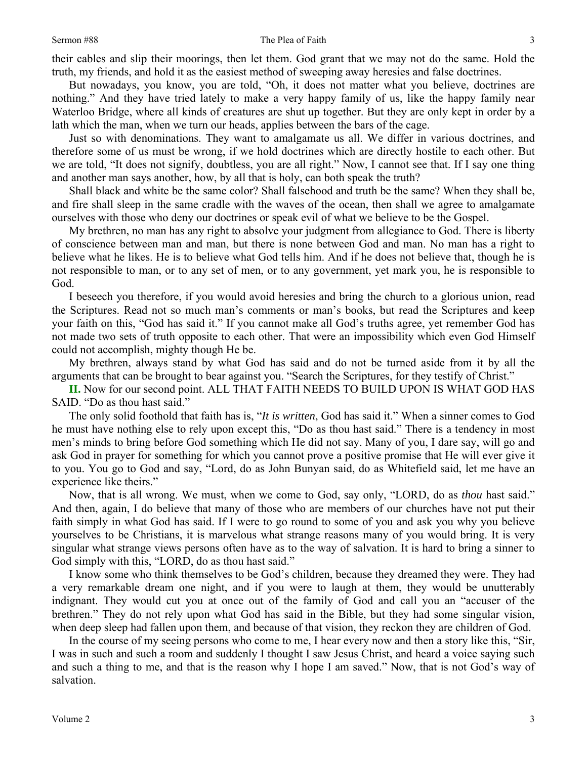their cables and slip their moorings, then let them. God grant that we may not do the same. Hold the truth, my friends, and hold it as the easiest method of sweeping away heresies and false doctrines.

But nowadays, you know, you are told, "Oh, it does not matter what you believe, doctrines are nothing." And they have tried lately to make a very happy family of us, like the happy family near Waterloo Bridge, where all kinds of creatures are shut up together. But they are only kept in order by a lath which the man, when we turn our heads, applies between the bars of the cage.

Just so with denominations. They want to amalgamate us all. We differ in various doctrines, and therefore some of us must be wrong, if we hold doctrines which are directly hostile to each other. But we are told, "It does not signify, doubtless, you are all right." Now, I cannot see that. If I say one thing and another man says another, how, by all that is holy, can both speak the truth?

Shall black and white be the same color? Shall falsehood and truth be the same? When they shall be, and fire shall sleep in the same cradle with the waves of the ocean, then shall we agree to amalgamate ourselves with those who deny our doctrines or speak evil of what we believe to be the Gospel.

My brethren, no man has any right to absolve your judgment from allegiance to God. There is liberty of conscience between man and man, but there is none between God and man. No man has a right to believe what he likes. He is to believe what God tells him. And if he does not believe that, though he is not responsible to man, or to any set of men, or to any government, yet mark you, he is responsible to God.

I beseech you therefore, if you would avoid heresies and bring the church to a glorious union, read the Scriptures. Read not so much man's comments or man's books, but read the Scriptures and keep your faith on this, "God has said it." If you cannot make all God's truths agree, yet remember God has not made two sets of truth opposite to each other. That were an impossibility which even God Himself could not accomplish, mighty though He be.

My brethren, always stand by what God has said and do not be turned aside from it by all the arguments that can be brought to bear against you. "Search the Scriptures, for they testify of Christ."

**II.** Now for our second point. ALL THAT FAITH NEEDS TO BUILD UPON IS WHAT GOD HAS SAID. "Do as thou hast said."

The only solid foothold that faith has is, "*It is written*, God has said it." When a sinner comes to God he must have nothing else to rely upon except this, "Do as thou hast said." There is a tendency in most men's minds to bring before God something which He did not say. Many of you, I dare say, will go and ask God in prayer for something for which you cannot prove a positive promise that He will ever give it to you. You go to God and say, "Lord, do as John Bunyan said, do as Whitefield said, let me have an experience like theirs."

Now, that is all wrong. We must, when we come to God, say only, "LORD, do as *thou* hast said." And then, again, I do believe that many of those who are members of our churches have not put their faith simply in what God has said. If I were to go round to some of you and ask you why you believe yourselves to be Christians, it is marvelous what strange reasons many of you would bring. It is very singular what strange views persons often have as to the way of salvation. It is hard to bring a sinner to God simply with this, "LORD, do as thou hast said."

I know some who think themselves to be God's children, because they dreamed they were. They had a very remarkable dream one night, and if you were to laugh at them, they would be unutterably indignant. They would cut you at once out of the family of God and call you an "accuser of the brethren." They do not rely upon what God has said in the Bible, but they had some singular vision, when deep sleep had fallen upon them, and because of that vision, they reckon they are children of God.

In the course of my seeing persons who come to me, I hear every now and then a story like this, "Sir, I was in such and such a room and suddenly I thought I saw Jesus Christ, and heard a voice saying such and such a thing to me, and that is the reason why I hope I am saved." Now, that is not God's way of salvation.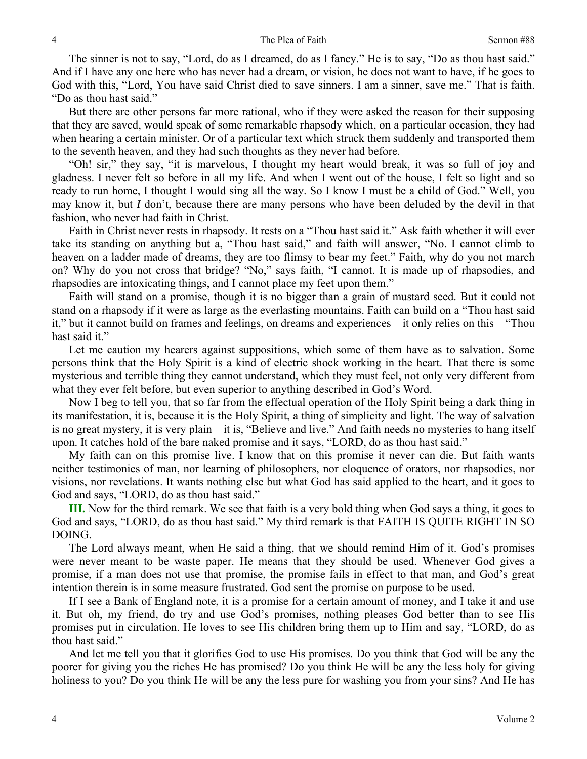The sinner is not to say, "Lord, do as I dreamed, do as I fancy." He is to say, "Do as thou hast said." And if I have any one here who has never had a dream, or vision, he does not want to have, if he goes to God with this, "Lord, You have said Christ died to save sinners. I am a sinner, save me." That is faith. "Do as thou hast said."

But there are other persons far more rational, who if they were asked the reason for their supposing that they are saved, would speak of some remarkable rhapsody which, on a particular occasion, they had when hearing a certain minister. Or of a particular text which struck them suddenly and transported them to the seventh heaven, and they had such thoughts as they never had before.

"Oh! sir," they say, "it is marvelous, I thought my heart would break, it was so full of joy and gladness. I never felt so before in all my life. And when I went out of the house, I felt so light and so ready to run home, I thought I would sing all the way. So I know I must be a child of God." Well, you may know it, but *I* don't, because there are many persons who have been deluded by the devil in that fashion, who never had faith in Christ.

Faith in Christ never rests in rhapsody. It rests on a "Thou hast said it." Ask faith whether it will ever take its standing on anything but a, "Thou hast said," and faith will answer, "No. I cannot climb to heaven on a ladder made of dreams, they are too flimsy to bear my feet." Faith, why do you not march on? Why do you not cross that bridge? "No," says faith, "I cannot. It is made up of rhapsodies, and rhapsodies are intoxicating things, and I cannot place my feet upon them."

Faith will stand on a promise, though it is no bigger than a grain of mustard seed. But it could not stand on a rhapsody if it were as large as the everlasting mountains. Faith can build on a "Thou hast said it," but it cannot build on frames and feelings, on dreams and experiences—it only relies on this—"Thou hast said it."

Let me caution my hearers against suppositions, which some of them have as to salvation. Some persons think that the Holy Spirit is a kind of electric shock working in the heart. That there is some mysterious and terrible thing they cannot understand, which they must feel, not only very different from what they ever felt before, but even superior to anything described in God's Word.

Now I beg to tell you, that so far from the effectual operation of the Holy Spirit being a dark thing in its manifestation, it is, because it is the Holy Spirit, a thing of simplicity and light. The way of salvation is no great mystery, it is very plain—it is, "Believe and live." And faith needs no mysteries to hang itself upon. It catches hold of the bare naked promise and it says, "LORD, do as thou hast said."

My faith can on this promise live. I know that on this promise it never can die. But faith wants neither testimonies of man, nor learning of philosophers, nor eloquence of orators, nor rhapsodies, nor visions, nor revelations. It wants nothing else but what God has said applied to the heart, and it goes to God and says, "LORD, do as thou hast said."

**III.** Now for the third remark. We see that faith is a very bold thing when God says a thing, it goes to God and says, "LORD, do as thou hast said." My third remark is that FAITH IS QUITE RIGHT IN SO DOING.

The Lord always meant, when He said a thing, that we should remind Him of it. God's promises were never meant to be waste paper. He means that they should be used. Whenever God gives a promise, if a man does not use that promise, the promise fails in effect to that man, and God's great intention therein is in some measure frustrated. God sent the promise on purpose to be used.

If I see a Bank of England note, it is a promise for a certain amount of money, and I take it and use it. But oh, my friend, do try and use God's promises, nothing pleases God better than to see His promises put in circulation. He loves to see His children bring them up to Him and say, "LORD, do as thou hast said."

And let me tell you that it glorifies God to use His promises. Do you think that God will be any the poorer for giving you the riches He has promised? Do you think He will be any the less holy for giving holiness to you? Do you think He will be any the less pure for washing you from your sins? And He has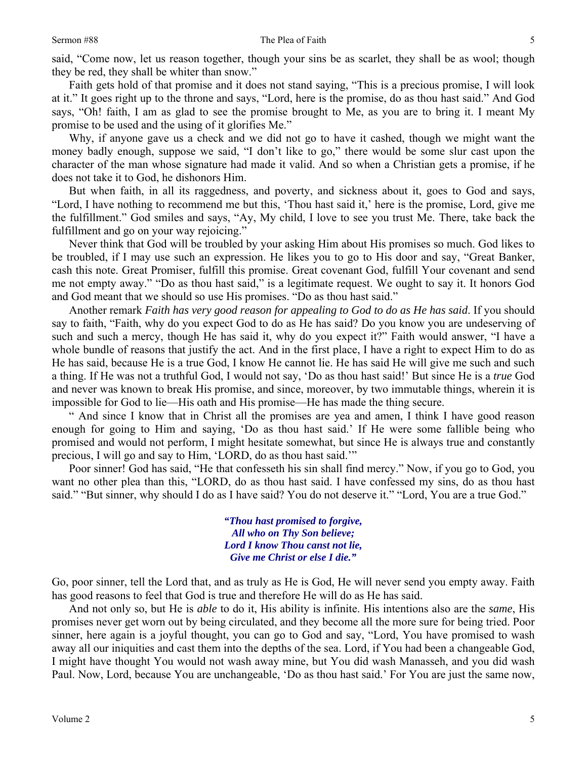said, "Come now, let us reason together, though your sins be as scarlet, they shall be as wool; though they be red, they shall be whiter than snow."

Faith gets hold of that promise and it does not stand saying, "This is a precious promise, I will look at it." It goes right up to the throne and says, "Lord, here is the promise, do as thou hast said." And God says, "Oh! faith, I am as glad to see the promise brought to Me, as you are to bring it. I meant My promise to be used and the using of it glorifies Me."

Why, if anyone gave us a check and we did not go to have it cashed, though we might want the money badly enough, suppose we said, "I don't like to go," there would be some slur cast upon the character of the man whose signature had made it valid. And so when a Christian gets a promise, if he does not take it to God, he dishonors Him.

But when faith, in all its raggedness, and poverty, and sickness about it, goes to God and says, "Lord, I have nothing to recommend me but this, 'Thou hast said it,' here is the promise, Lord, give me the fulfillment." God smiles and says, "Ay, My child, I love to see you trust Me. There, take back the fulfillment and go on your way rejoicing."

Never think that God will be troubled by your asking Him about His promises so much. God likes to be troubled, if I may use such an expression. He likes you to go to His door and say, "Great Banker, cash this note. Great Promiser, fulfill this promise. Great covenant God, fulfill Your covenant and send me not empty away." "Do as thou hast said," is a legitimate request. We ought to say it. It honors God and God meant that we should so use His promises. "Do as thou hast said."

Another remark *Faith has very good reason for appealing to God to do as He has said*. If you should say to faith, "Faith, why do you expect God to do as He has said? Do you know you are undeserving of such and such a mercy, though He has said it, why do you expect it?" Faith would answer, "I have a whole bundle of reasons that justify the act. And in the first place, I have a right to expect Him to do as He has said, because He is a true God, I know He cannot lie. He has said He will give me such and such a thing. If He was not a truthful God, I would not say, 'Do as thou hast said!' But since He is a *true* God and never was known to break His promise, and since, moreover, by two immutable things, wherein it is impossible for God to lie—His oath and His promise—He has made the thing secure.

" And since I know that in Christ all the promises are yea and amen, I think I have good reason enough for going to Him and saying, 'Do as thou hast said.' If He were some fallible being who promised and would not perform, I might hesitate somewhat, but since He is always true and constantly precious, I will go and say to Him, 'LORD, do as thou hast said.'"

Poor sinner! God has said, "He that confesseth his sin shall find mercy." Now, if you go to God, you want no other plea than this, "LORD, do as thou hast said. I have confessed my sins, do as thou hast said." "But sinner, why should I do as I have said? You do not deserve it." "Lord, You are a true God."

> *"Thou hast promised to forgive, All who on Thy Son believe; Lord I know Thou canst not lie, Give me Christ or else I die."*

Go, poor sinner, tell the Lord that, and as truly as He is God, He will never send you empty away. Faith has good reasons to feel that God is true and therefore He will do as He has said.

And not only so, but He is *able* to do it, His ability is infinite. His intentions also are the *same*, His promises never get worn out by being circulated, and they become all the more sure for being tried. Poor sinner, here again is a joyful thought, you can go to God and say, "Lord, You have promised to wash away all our iniquities and cast them into the depths of the sea. Lord, if You had been a changeable God, I might have thought You would not wash away mine, but You did wash Manasseh, and you did wash Paul. Now, Lord, because You are unchangeable, 'Do as thou hast said.' For You are just the same now,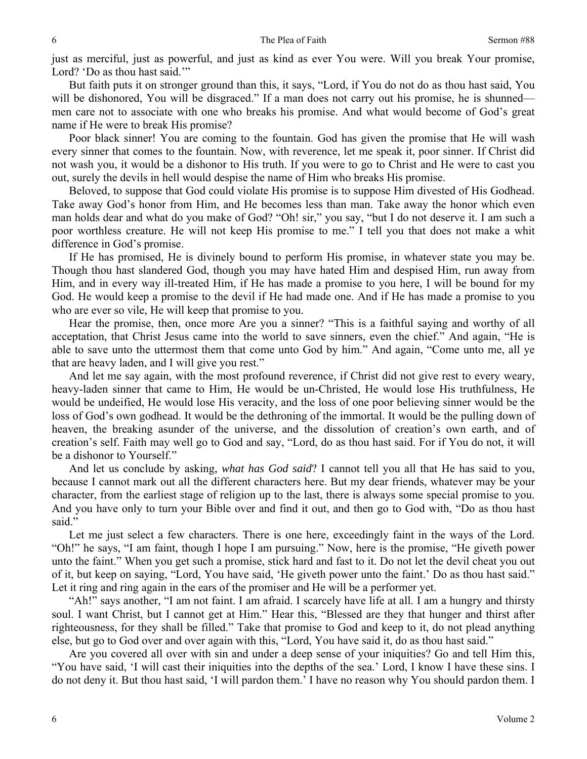just as merciful, just as powerful, and just as kind as ever You were. Will you break Your promise, Lord? 'Do as thou hast said.'"

But faith puts it on stronger ground than this, it says, "Lord, if You do not do as thou hast said, You will be dishonored, You will be disgraced." If a man does not carry out his promise, he is shunned men care not to associate with one who breaks his promise. And what would become of God's great name if He were to break His promise?

Poor black sinner! You are coming to the fountain. God has given the promise that He will wash every sinner that comes to the fountain. Now, with reverence, let me speak it, poor sinner. If Christ did not wash you, it would be a dishonor to His truth. If you were to go to Christ and He were to cast you out, surely the devils in hell would despise the name of Him who breaks His promise.

Beloved, to suppose that God could violate His promise is to suppose Him divested of His Godhead. Take away God's honor from Him, and He becomes less than man. Take away the honor which even man holds dear and what do you make of God? "Oh! sir," you say, "but I do not deserve it. I am such a poor worthless creature. He will not keep His promise to me." I tell you that does not make a whit difference in God's promise.

If He has promised, He is divinely bound to perform His promise, in whatever state you may be. Though thou hast slandered God, though you may have hated Him and despised Him, run away from Him, and in every way ill-treated Him, if He has made a promise to you here, I will be bound for my God. He would keep a promise to the devil if He had made one. And if He has made a promise to you who are ever so vile, He will keep that promise to you.

Hear the promise, then, once more Are you a sinner? "This is a faithful saying and worthy of all acceptation, that Christ Jesus came into the world to save sinners, even the chief." And again, "He is able to save unto the uttermost them that come unto God by him." And again, "Come unto me, all ye that are heavy laden, and I will give you rest."

And let me say again, with the most profound reverence, if Christ did not give rest to every weary, heavy-laden sinner that came to Him, He would be un-Christed, He would lose His truthfulness, He would be undeified, He would lose His veracity, and the loss of one poor believing sinner would be the loss of God's own godhead. It would be the dethroning of the immortal. It would be the pulling down of heaven, the breaking asunder of the universe, and the dissolution of creation's own earth, and of creation's self. Faith may well go to God and say, "Lord, do as thou hast said. For if You do not, it will be a dishonor to Yourself."

And let us conclude by asking, *what has God said*? I cannot tell you all that He has said to you, because I cannot mark out all the different characters here. But my dear friends, whatever may be your character, from the earliest stage of religion up to the last, there is always some special promise to you. And you have only to turn your Bible over and find it out, and then go to God with, "Do as thou hast said."

Let me just select a few characters. There is one here, exceedingly faint in the ways of the Lord. "Oh!" he says, "I am faint, though I hope I am pursuing." Now, here is the promise, "He giveth power unto the faint." When you get such a promise, stick hard and fast to it. Do not let the devil cheat you out of it, but keep on saying, "Lord, You have said, 'He giveth power unto the faint.' Do as thou hast said." Let it ring and ring again in the ears of the promiser and He will be a performer yet.

"Ah!" says another, "I am not faint. I am afraid. I scarcely have life at all. I am a hungry and thirsty soul. I want Christ, but I cannot get at Him." Hear this, "Blessed are they that hunger and thirst after righteousness, for they shall be filled." Take that promise to God and keep to it, do not plead anything else, but go to God over and over again with this, "Lord, You have said it, do as thou hast said."

Are you covered all over with sin and under a deep sense of your iniquities? Go and tell Him this, "You have said, 'I will cast their iniquities into the depths of the sea.' Lord, I know I have these sins. I do not deny it. But thou hast said, 'I will pardon them.' I have no reason why You should pardon them. I

6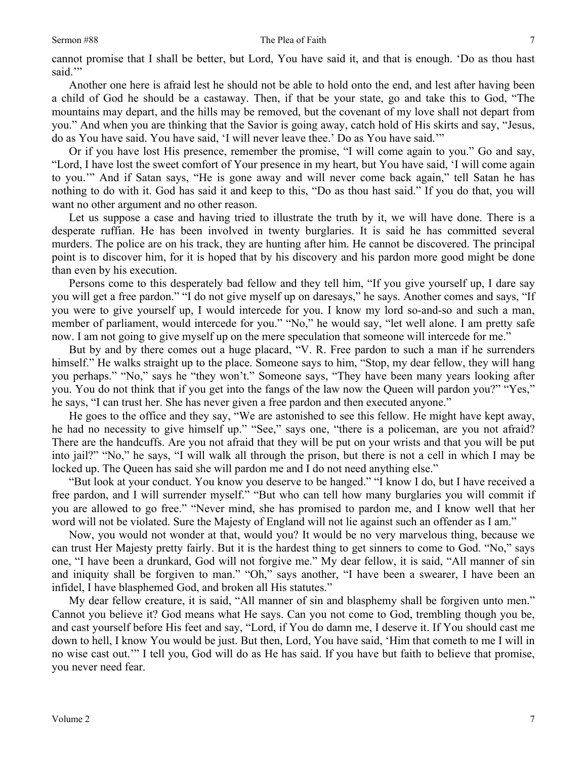cannot promise that I shall be better, but Lord, You have said it, and that is enough. 'Do as thou hast said."

Another one here is afraid lest he should not be able to hold onto the end, and lest after having been a child of God he should be a castaway. Then, if that be your state, go and take this to God, "The mountains may depart, and the hills may be removed, but the covenant of my love shall not depart from you." And when you are thinking that the Savior is going away, catch hold of His skirts and say, "Jesus, do as You have said. You have said, 'I will never leave thee.' Do as You have said.'"

Or if you have lost His presence, remember the promise, "I will come again to you." Go and say, "Lord, I have lost the sweet comfort of Your presence in my heart, but You have said, 'I will come again to you.'" And if Satan says, "He is gone away and will never come back again," tell Satan he has nothing to do with it. God has said it and keep to this, "Do as thou hast said." If you do that, you will want no other argument and no other reason.

Let us suppose a case and having tried to illustrate the truth by it, we will have done. There is a desperate ruffian. He has been involved in twenty burglaries. It is said he has committed several murders. The police are on his track, they are hunting after him. He cannot be discovered. The principal point is to discover him, for it is hoped that by his discovery and his pardon more good might be done than even by his execution.

Persons come to this desperately bad fellow and they tell him, "If you give yourself up, I dare say you will get a free pardon." "I do not give myself up on daresays," he says. Another comes and says, "If you were to give yourself up, I would intercede for you. I know my lord so-and-so and such a man, member of parliament, would intercede for you." "No," he would say, "let well alone. I am pretty safe now. I am not going to give myself up on the mere speculation that someone will intercede for me."

But by and by there comes out a huge placard, "V. R. Free pardon to such a man if he surrenders himself." He walks straight up to the place. Someone says to him, "Stop, my dear fellow, they will hang you perhaps." "No," says he "they won't." Someone says, "They have been many years looking after you. You do not think that if you get into the fangs of the law now the Queen will pardon you?" "Yes," he says, "I can trust her. She has never given a free pardon and then executed anyone."

He goes to the office and they say, "We are astonished to see this fellow. He might have kept away, he had no necessity to give himself up." "See," says one, "there is a policeman, are you not afraid? There are the handcuffs. Are you not afraid that they will be put on your wrists and that you will be put into jail?" "No," he says, "I will walk all through the prison, but there is not a cell in which I may be locked up. The Queen has said she will pardon me and I do not need anything else."

"But look at your conduct. You know you deserve to be hanged." "I know I do, but I have received a free pardon, and I will surrender myself." "But who can tell how many burglaries you will commit if you are allowed to go free." "Never mind, she has promised to pardon me, and I know well that her word will not be violated. Sure the Majesty of England will not lie against such an offender as I am."

Now, you would not wonder at that, would you? It would be no very marvelous thing, because we can trust Her Majesty pretty fairly. But it is the hardest thing to get sinners to come to God. "No," says one, "I have been a drunkard, God will not forgive me." My dear fellow, it is said, "All manner of sin and iniquity shall be forgiven to man." "Oh," says another, "I have been a swearer, I have been an infidel, I have blasphemed God, and broken all His statutes."

My dear fellow creature, it is said, "All manner of sin and blasphemy shall be forgiven unto men." Cannot you believe it? God means what He says. Can you not come to God, trembling though you be, and cast yourself before His feet and say, "Lord, if You do damn me, I deserve it. If You should cast me down to hell, I know You would be just. But then, Lord, You have said, 'Him that cometh to me I will in no wise cast out.'" I tell you, God will do as He has said. If you have but faith to believe that promise, you never need fear.